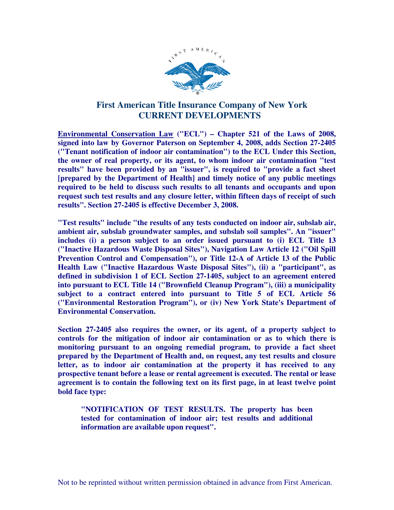

## **First American Title Insurance Company of New York CURRENT DEVELOPMENTS**

**Environmental Conservation Law ("ECL") – Chapter 521 of the Laws of 2008, signed into law by Governor Paterson on September 4, 2008, adds Section 27-2405 ("Tenant notification of indoor air contamination") to the ECL Under this Section, the owner of real property, or its agent, to whom indoor air contamination "test results" have been provided by an "issuer", is required to "provide a fact sheet [prepared by the Department of Health] and timely notice of any public meetings required to be held to discuss such results to all tenants and occupants and upon request such test results and any closure letter, within fifteen days of receipt of such results". Section 27-2405 is effective December 3, 2008.** 

**"Test results" include "the results of any tests conducted on indoor air, subslab air, ambient air, subslab groundwater samples, and subslab soil samples". An "issuer" includes (i) a person subject to an order issued pursuant to (i) ECL Title 13 ("Inactive Hazardous Waste Disposal Sites"), Navigation Law Article 12 ("Oil Spill Prevention Control and Compensation"), or Title 12-A of Article 13 of the Public Health Law ("Inactive Hazardous Waste Disposal Sites"), (ii) a "participant", as defined in subdivision 1 of ECL Section 27-1405, subject to an agreement entered into pursuant to ECL Title 14 ("Brownfield Cleanup Program"), (iii) a municipality subject to a contract entered into pursuant to Title 5 of ECL Article 56 ("Environmental Restoration Program"), or (iv) New York State's Department of Environmental Conservation.** 

**Section 27-2405 also requires the owner, or its agent, of a property subject to controls for the mitigation of indoor air contamination or as to which there is monitoring pursuant to an ongoing remedial program, to provide a fact sheet prepared by the Department of Health and, on request, any test results and closure letter, as to indoor air contamination at the property it has received to any prospective tenant before a lease or rental agreement is executed. The rental or lease agreement is to contain the following text on its first page, in at least twelve point bold face type:** 

**"NOTIFICATION OF TEST RESULTS. The property has been tested for contamination of indoor air; test results and additional information are available upon request".**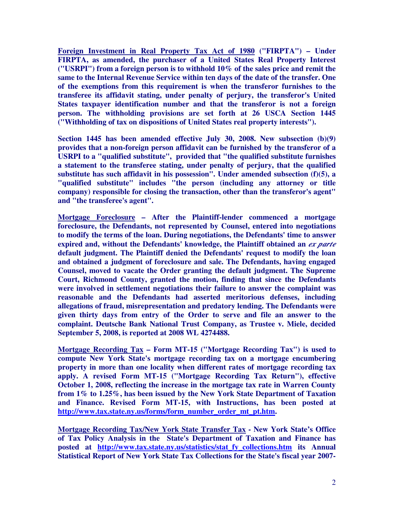**Foreign Investment in Real Property Tax Act of 1980 ("FIRPTA") – Under FIRPTA, as amended, the purchaser of a United States Real Property Interest ("USRPI") from a foreign person is to withhold 10% of the sales price and remit the same to the Internal Revenue Service within ten days of the date of the transfer. One of the exemptions from this requirement is when the transferor furnishes to the transferee its affidavit stating, under penalty of perjury, the transferor's United States taxpayer identification number and that the transferor is not a foreign person. The withholding provisions are set forth at 26 USCA Section 1445 ("Withholding of tax on dispositions of United States real property interests").** 

**Section 1445 has been amended effective July 30, 2008. New subsection (b)(9) provides that a non-foreign person affidavit can be furnished by the transferor of a USRPI to a "qualified substitute", provided that "the qualified substitute furnishes a statement to the transferee stating, under penalty of perjury, that the qualified substitute has such affidavit in his possession". Under amended subsection (f)(5), a "qualified substitute" includes "the person (including any attorney or title company) responsible for closing the transaction, other than the transferor's agent" and "the transferee's agent".** 

**Mortgage Foreclosure – After the Plaintiff-lender commenced a mortgage foreclosure, the Defendants, not represented by Counsel, entered into negotiations to modify the terms of the loan. During negotiations, the Defendants' time to answer expired and, without the Defendants' knowledge, the Plaintiff obtained an** *ex parte* **default judgment. The Plaintiff denied the Defendants' request to modify the loan and obtained a judgment of foreclosure and sale. The Defendants, having engaged Counsel, moved to vacate the Order granting the default judgment. The Supreme Court, Richmond County, granted the motion, finding that since the Defendants were involved in settlement negotiations their failure to answer the complaint was reasonable and the Defendants had asserted meritorious defenses, including allegations of fraud, misrepresentation and predatory lending. The Defendants were given thirty days from entry of the Order to serve and file an answer to the complaint. Deutsche Bank National Trust Company, as Trustee v. Miele, decided September 5, 2008, is reported at 2008 WL 4274488.** 

**Mortgage Recording Tax – Form MT-15 ("Mortgage Recording Tax") is used to compute New York State's mortgage recording tax on a mortgage encumbering property in more than one locality when different rates of mortgage recording tax apply. A revised Form MT-15 ("Mortgage Recording Tax Return"), effective October 1, 2008, reflecting the increase in the mortgage tax rate in Warren County from 1% to 1.25%, has been issued by the New York State Department of Taxation and Finance. Revised Form MT-15, with Instructions, has been posted at http://www.tax.state.ny.us/forms/form\_number\_order\_mt\_pt.htm.** 

**Mortgage Recording Tax/New York State Transfer Tax - New York State's Office of Tax Policy Analysis in the State's Department of Taxation and Finance has posted at http://www.tax.state.ny.us/statistics/stat\_fy\_collections.htm its Annual Statistical Report of New York State Tax Collections for the State's fiscal year 2007-**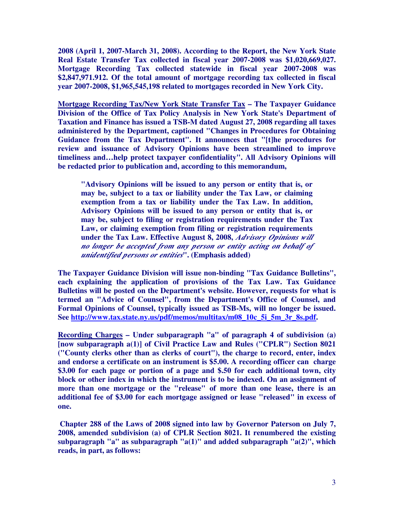**2008 (April 1, 2007-March 31, 2008). According to the Report, the New York State Real Estate Transfer Tax collected in fiscal year 2007-2008 was \$1,020,669,027. Mortgage Recording Tax collected statewide in fiscal year 2007-2008 was \$2,847,971.912. Of the total amount of mortgage recording tax collected in fiscal year 2007-2008, \$1,965,545,198 related to mortgages recorded in New York City.** 

**Mortgage Recording Tax/New York State Transfer Tax – The Taxpayer Guidance Division of the Office of Tax Policy Analysis in New York State's Department of Taxation and Finance has issued a TSB-M dated August 27, 2008 regarding all taxes administered by the Department, captioned "Changes in Procedures for Obtaining Guidance from the Tax Department". It announces that "[t]he procedures for review and issuance of Advisory Opinions have been streamlined to improve timeliness and…help protect taxpayer confidentiality". All Advisory Opinions will be redacted prior to publication and, according to this memorandum,** 

**"Advisory Opinions will be issued to any person or entity that is, or may be, subject to a tax or liability under the Tax Law, or claiming exemption from a tax or liability under the Tax Law. In addition, Advisory Opinions will be issued to any person or entity that is, or may be, subject to filing or registration requirements under the Tax Law, or claiming exemption from filing or registration requirements under the Tax Law. Effective August 8, 2008,** *Advisory Opinions will no longer be accepted from any person or entity acting on behalf of unidentified persons or entities***". (Emphasis added)** 

**The Taxpayer Guidance Division will issue non-binding "Tax Guidance Bulletins", each explaining the application of provisions of the Tax Law. Tax Guidance Bulletins will be posted on the Department's website. However, requests for what is termed an "Advice of Counsel", from the Department's Office of Counsel, and Formal Opinions of Counsel, typically issued as TSB-Ms, will no longer be issued. See http://www.tax.state.ny.us/pdf/memos/multitax/m08\_10c\_5i\_5m\_3r\_8s.pdf.** 

**Recording Charges – Under subparagraph "a" of paragraph 4 of subdivision (a) [now subparagraph a(1)] of Civil Practice Law and Rules ("CPLR") Section 8021 ("County clerks other than as clerks of court"), the charge to record, enter, index and endorse a certificate on an instrument is \$5.00. A recording officer can charge \$3.00 for each page or portion of a page and \$.50 for each additional town, city block or other index in which the instrument is to be indexed. On an assignment of more than one mortgage or the "release" of more than one lease, there is an additional fee of \$3.00 for each mortgage assigned or lease "released" in excess of one.** 

 **Chapter 288 of the Laws of 2008 signed into law by Governor Paterson on July 7, 2008, amended subdivision (a) of CPLR Section 8021. It renumbered the existing subparagraph "a" as subparagraph "a(1)" and added subparagraph "a(2)", which reads, in part, as follows:**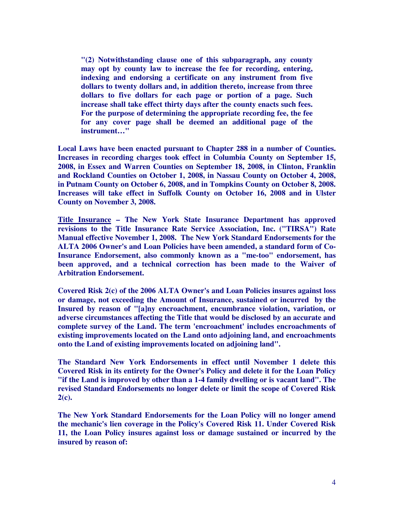**"(2) Notwithstanding clause one of this subparagraph, any county may opt by county law to increase the fee for recording, entering, indexing and endorsing a certificate on any instrument from five dollars to twenty dollars and, in addition thereto, increase from three dollars to five dollars for each page or portion of a page. Such increase shall take effect thirty days after the county enacts such fees. For the purpose of determining the appropriate recording fee, the fee for any cover page shall be deemed an additional page of the instrument…"** 

**Local Laws have been enacted pursuant to Chapter 288 in a number of Counties. Increases in recording charges took effect in Columbia County on September 15, 2008, in Essex and Warren Counties on September 18, 2008, in Clinton, Franklin and Rockland Counties on October 1, 2008, in Nassau County on October 4, 2008, in Putnam County on October 6, 2008, and in Tompkins County on October 8, 2008. Increases will take effect in Suffolk County on October 16, 2008 and in Ulster County on November 3, 2008.** 

**Title Insurance – The New York State Insurance Department has approved revisions to the Title Insurance Rate Service Association, Inc. ("TIRSA") Rate Manual effective November 1, 2008. The New York Standard Endorsements for the ALTA 2006 Owner's and Loan Policies have been amended, a standard form of Co-Insurance Endorsement, also commonly known as a "me-too" endorsement, has been approved, and a technical correction has been made to the Waiver of Arbitration Endorsement.** 

**Covered Risk 2(c) of the 2006 ALTA Owner's and Loan Policies insures against loss or damage, not exceeding the Amount of Insurance, sustained or incurred by the Insured by reason of "[a]ny encroachment, encumbrance violation, variation, or adverse circumstances affecting the Title that would be disclosed by an accurate and complete survey of the Land. The term 'encroachment' includes encroachments of existing improvements located on the Land onto adjoining land, and encroachments onto the Land of existing improvements located on adjoining land".** 

**The Standard New York Endorsements in effect until November 1 delete this Covered Risk in its entirety for the Owner's Policy and delete it for the Loan Policy "if the Land is improved by other than a 1-4 family dwelling or is vacant land". The revised Standard Endorsements no longer delete or limit the scope of Covered Risk 2(c).** 

**The New York Standard Endorsements for the Loan Policy will no longer amend the mechanic's lien coverage in the Policy's Covered Risk 11. Under Covered Risk 11, the Loan Policy insures against loss or damage sustained or incurred by the insured by reason of:**